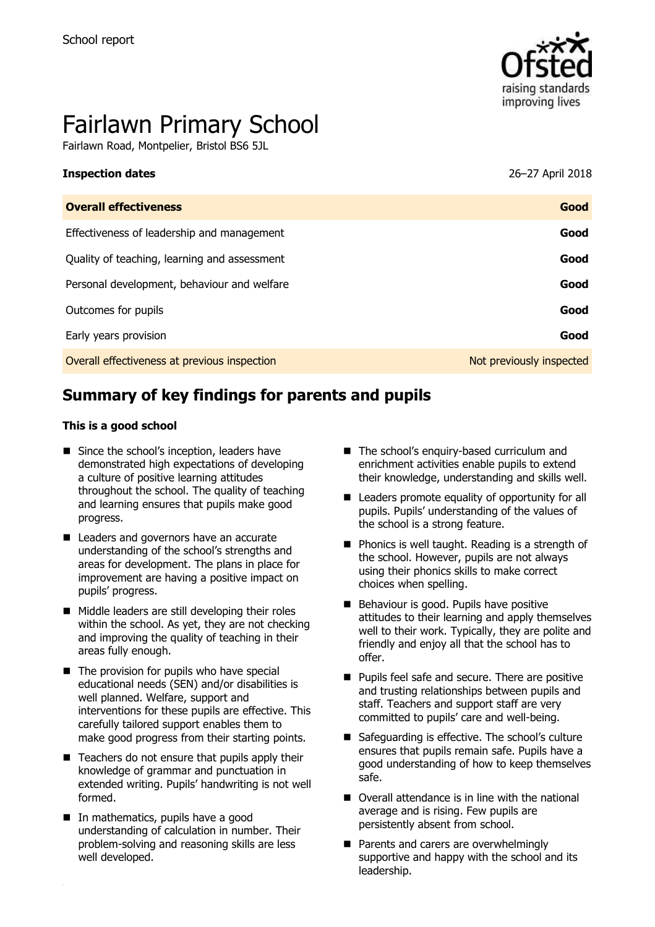

# Fairlawn Primary School

Fairlawn Road, Montpelier, Bristol BS6 5JL

#### **Inspection dates** 26–27 April 2018

| <b>Overall effectiveness</b>                 | Good                     |
|----------------------------------------------|--------------------------|
| Effectiveness of leadership and management   | Good                     |
| Quality of teaching, learning and assessment | Good                     |
| Personal development, behaviour and welfare  | Good                     |
| Outcomes for pupils                          | Good                     |
| Early years provision                        | Good                     |
| Overall effectiveness at previous inspection | Not previously inspected |

# **Summary of key findings for parents and pupils**

#### **This is a good school**

- Since the school's inception, leaders have demonstrated high expectations of developing a culture of positive learning attitudes throughout the school. The quality of teaching and learning ensures that pupils make good progress.
- Leaders and governors have an accurate understanding of the school's strengths and areas for development. The plans in place for improvement are having a positive impact on pupils' progress.
- Middle leaders are still developing their roles within the school. As yet, they are not checking and improving the quality of teaching in their areas fully enough.
- $\blacksquare$  The provision for pupils who have special educational needs (SEN) and/or disabilities is well planned. Welfare, support and interventions for these pupils are effective. This carefully tailored support enables them to make good progress from their starting points.
- $\blacksquare$  Teachers do not ensure that pupils apply their knowledge of grammar and punctuation in extended writing. Pupils' handwriting is not well formed.
- In mathematics, pupils have a good understanding of calculation in number. Their problem-solving and reasoning skills are less well developed.
- The school's enquiry-based curriculum and enrichment activities enable pupils to extend their knowledge, understanding and skills well.
- Leaders promote equality of opportunity for all pupils. Pupils' understanding of the values of the school is a strong feature.
- **Phonics is well taught. Reading is a strength of** the school. However, pupils are not always using their phonics skills to make correct choices when spelling.
- Behaviour is good. Pupils have positive attitudes to their learning and apply themselves well to their work. Typically, they are polite and friendly and enjoy all that the school has to offer.
- **Pupils feel safe and secure. There are positive** and trusting relationships between pupils and staff. Teachers and support staff are very committed to pupils' care and well-being.
- Safeguarding is effective. The school's culture ensures that pupils remain safe. Pupils have a good understanding of how to keep themselves safe.
- Overall attendance is in line with the national average and is rising. Few pupils are persistently absent from school.
- **Parents and carers are overwhelmingly** supportive and happy with the school and its leadership.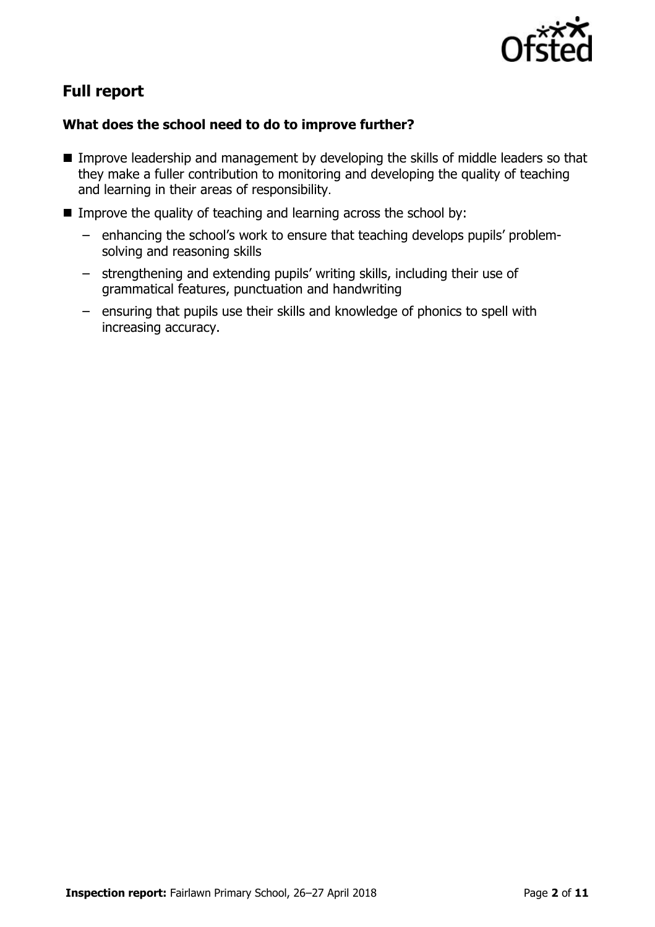

# **Full report**

### **What does the school need to do to improve further?**

- **IMPROVE LEADERSHIP and management by developing the skills of middle leaders so that** they make a fuller contribution to monitoring and developing the quality of teaching and learning in their areas of responsibility.
- Improve the quality of teaching and learning across the school by:
	- enhancing the school's work to ensure that teaching develops pupils' problemsolving and reasoning skills
	- strengthening and extending pupils' writing skills, including their use of grammatical features, punctuation and handwriting
	- ensuring that pupils use their skills and knowledge of phonics to spell with increasing accuracy.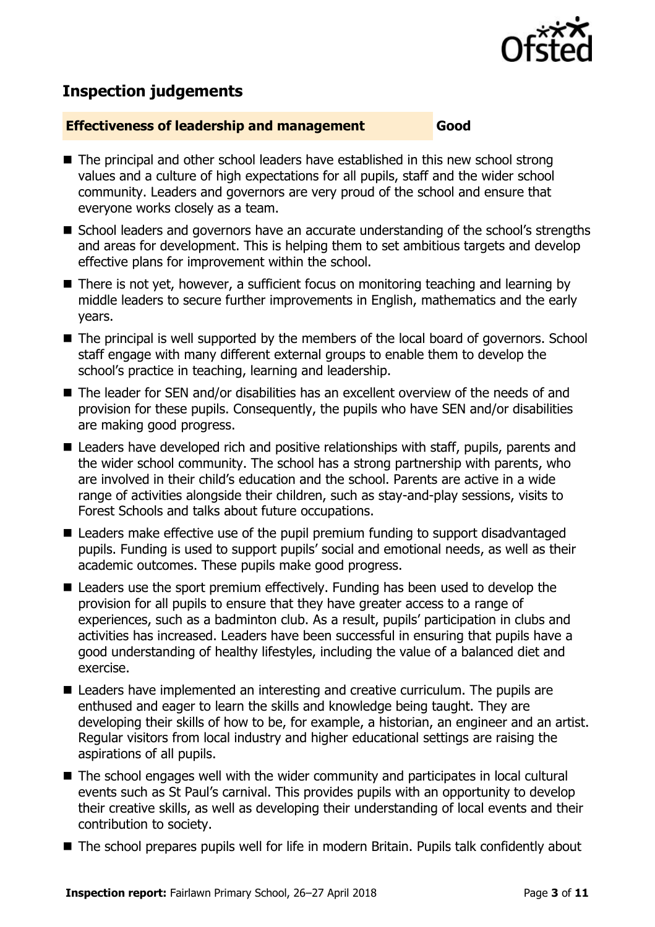

# **Inspection judgements**

#### **Effectiveness of leadership and management Good**

- The principal and other school leaders have established in this new school strong values and a culture of high expectations for all pupils, staff and the wider school community. Leaders and governors are very proud of the school and ensure that everyone works closely as a team.
- School leaders and governors have an accurate understanding of the school's strengths and areas for development. This is helping them to set ambitious targets and develop effective plans for improvement within the school.
- There is not yet, however, a sufficient focus on monitoring teaching and learning by middle leaders to secure further improvements in English, mathematics and the early years.
- The principal is well supported by the members of the local board of governors. School staff engage with many different external groups to enable them to develop the school's practice in teaching, learning and leadership.
- The leader for SEN and/or disabilities has an excellent overview of the needs of and provision for these pupils. Consequently, the pupils who have SEN and/or disabilities are making good progress.
- Leaders have developed rich and positive relationships with staff, pupils, parents and the wider school community. The school has a strong partnership with parents, who are involved in their child's education and the school. Parents are active in a wide range of activities alongside their children, such as stay-and-play sessions, visits to Forest Schools and talks about future occupations.
- Leaders make effective use of the pupil premium funding to support disadvantaged pupils. Funding is used to support pupils' social and emotional needs, as well as their academic outcomes. These pupils make good progress.
- Leaders use the sport premium effectively. Funding has been used to develop the provision for all pupils to ensure that they have greater access to a range of experiences, such as a badminton club. As a result, pupils' participation in clubs and activities has increased. Leaders have been successful in ensuring that pupils have a good understanding of healthy lifestyles, including the value of a balanced diet and exercise.
- Leaders have implemented an interesting and creative curriculum. The pupils are enthused and eager to learn the skills and knowledge being taught. They are developing their skills of how to be, for example, a historian, an engineer and an artist. Regular visitors from local industry and higher educational settings are raising the aspirations of all pupils.
- The school engages well with the wider community and participates in local cultural events such as St Paul's carnival. This provides pupils with an opportunity to develop their creative skills, as well as developing their understanding of local events and their contribution to society.
- The school prepares pupils well for life in modern Britain. Pupils talk confidently about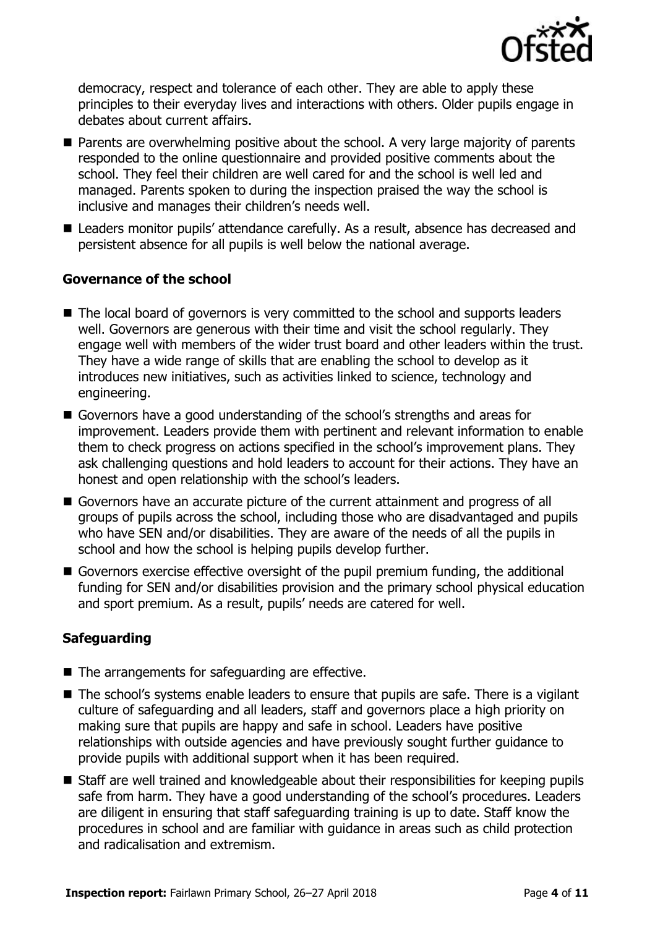

democracy, respect and tolerance of each other. They are able to apply these principles to their everyday lives and interactions with others. Older pupils engage in debates about current affairs.

- Parents are overwhelming positive about the school. A very large majority of parents responded to the online questionnaire and provided positive comments about the school. They feel their children are well cared for and the school is well led and managed. Parents spoken to during the inspection praised the way the school is inclusive and manages their children's needs well.
- Leaders monitor pupils' attendance carefully. As a result, absence has decreased and persistent absence for all pupils is well below the national average.

#### **Governance of the school**

- The local board of governors is very committed to the school and supports leaders well. Governors are generous with their time and visit the school regularly. They engage well with members of the wider trust board and other leaders within the trust. They have a wide range of skills that are enabling the school to develop as it introduces new initiatives, such as activities linked to science, technology and engineering.
- Governors have a good understanding of the school's strengths and areas for improvement. Leaders provide them with pertinent and relevant information to enable them to check progress on actions specified in the school's improvement plans. They ask challenging questions and hold leaders to account for their actions. They have an honest and open relationship with the school's leaders.
- Governors have an accurate picture of the current attainment and progress of all groups of pupils across the school, including those who are disadvantaged and pupils who have SEN and/or disabilities. They are aware of the needs of all the pupils in school and how the school is helping pupils develop further.
- Governors exercise effective oversight of the pupil premium funding, the additional funding for SEN and/or disabilities provision and the primary school physical education and sport premium. As a result, pupils' needs are catered for well.

### **Safeguarding**

- The arrangements for safeguarding are effective.
- The school's systems enable leaders to ensure that pupils are safe. There is a vigilant culture of safeguarding and all leaders, staff and governors place a high priority on making sure that pupils are happy and safe in school. Leaders have positive relationships with outside agencies and have previously sought further guidance to provide pupils with additional support when it has been required.
- Staff are well trained and knowledgeable about their responsibilities for keeping pupils safe from harm. They have a good understanding of the school's procedures. Leaders are diligent in ensuring that staff safeguarding training is up to date. Staff know the procedures in school and are familiar with guidance in areas such as child protection and radicalisation and extremism.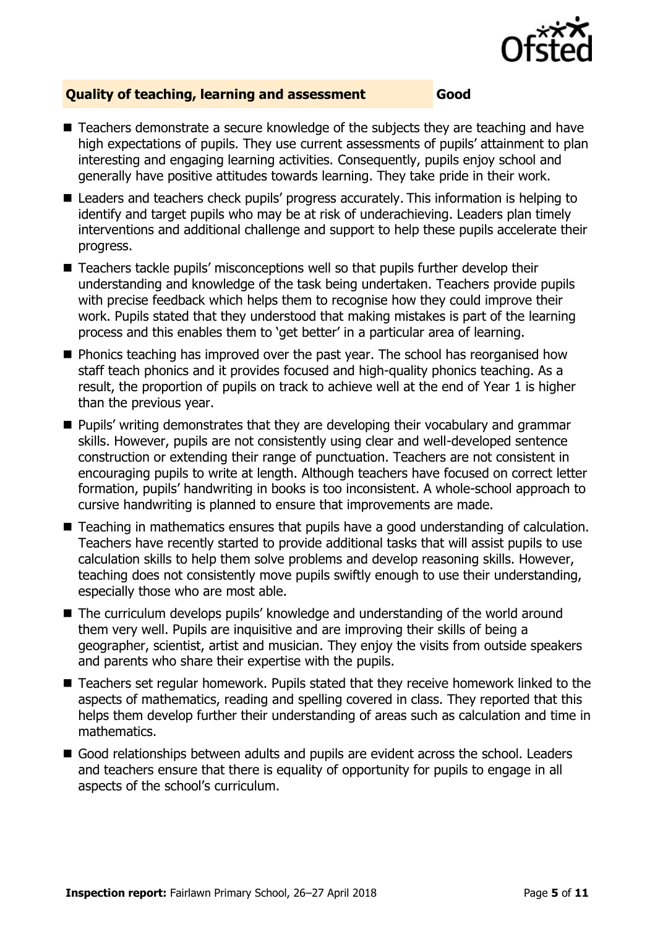

#### **Quality of teaching, learning and assessment Good**

- Teachers demonstrate a secure knowledge of the subjects they are teaching and have high expectations of pupils. They use current assessments of pupils' attainment to plan interesting and engaging learning activities. Consequently, pupils enjoy school and generally have positive attitudes towards learning. They take pride in their work.
- Leaders and teachers check pupils' progress accurately. This information is helping to identify and target pupils who may be at risk of underachieving. Leaders plan timely interventions and additional challenge and support to help these pupils accelerate their progress.
- Teachers tackle pupils' misconceptions well so that pupils further develop their understanding and knowledge of the task being undertaken. Teachers provide pupils with precise feedback which helps them to recognise how they could improve their work. Pupils stated that they understood that making mistakes is part of the learning process and this enables them to 'get better' in a particular area of learning.
- **Phonics teaching has improved over the past year. The school has reorganised how** staff teach phonics and it provides focused and high-quality phonics teaching. As a result, the proportion of pupils on track to achieve well at the end of Year 1 is higher than the previous year.
- **Pupils' writing demonstrates that they are developing their vocabulary and grammar** skills. However, pupils are not consistently using clear and well-developed sentence construction or extending their range of punctuation. Teachers are not consistent in encouraging pupils to write at length. Although teachers have focused on correct letter formation, pupils' handwriting in books is too inconsistent. A whole-school approach to cursive handwriting is planned to ensure that improvements are made.
- Teaching in mathematics ensures that pupils have a good understanding of calculation. Teachers have recently started to provide additional tasks that will assist pupils to use calculation skills to help them solve problems and develop reasoning skills. However, teaching does not consistently move pupils swiftly enough to use their understanding, especially those who are most able.
- The curriculum develops pupils' knowledge and understanding of the world around them very well. Pupils are inquisitive and are improving their skills of being a geographer, scientist, artist and musician. They enjoy the visits from outside speakers and parents who share their expertise with the pupils.
- Teachers set regular homework. Pupils stated that they receive homework linked to the aspects of mathematics, reading and spelling covered in class. They reported that this helps them develop further their understanding of areas such as calculation and time in mathematics.
- Good relationships between adults and pupils are evident across the school. Leaders and teachers ensure that there is equality of opportunity for pupils to engage in all aspects of the school's curriculum.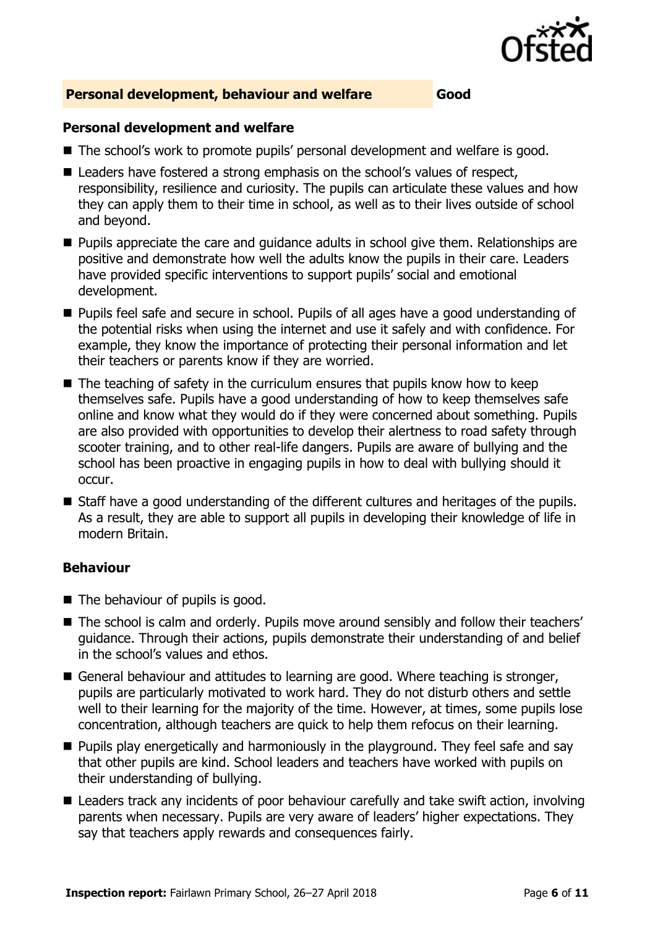

#### **Personal development, behaviour and welfare Good**

#### **Personal development and welfare**

- The school's work to promote pupils' personal development and welfare is good.
- Leaders have fostered a strong emphasis on the school's values of respect, responsibility, resilience and curiosity. The pupils can articulate these values and how they can apply them to their time in school, as well as to their lives outside of school and beyond.
- **Pupils appreciate the care and quidance adults in school give them. Relationships are** positive and demonstrate how well the adults know the pupils in their care. Leaders have provided specific interventions to support pupils' social and emotional development.
- **Pupils feel safe and secure in school. Pupils of all ages have a good understanding of** the potential risks when using the internet and use it safely and with confidence. For example, they know the importance of protecting their personal information and let their teachers or parents know if they are worried.
- $\blacksquare$  The teaching of safety in the curriculum ensures that pupils know how to keep themselves safe. Pupils have a good understanding of how to keep themselves safe online and know what they would do if they were concerned about something. Pupils are also provided with opportunities to develop their alertness to road safety through scooter training, and to other real-life dangers. Pupils are aware of bullying and the school has been proactive in engaging pupils in how to deal with bullying should it occur.
- Staff have a good understanding of the different cultures and heritages of the pupils. As a result, they are able to support all pupils in developing their knowledge of life in modern Britain.

#### **Behaviour**

- The behaviour of pupils is good.
- The school is calm and orderly. Pupils move around sensibly and follow their teachers' guidance. Through their actions, pupils demonstrate their understanding of and belief in the school's values and ethos.
- General behaviour and attitudes to learning are good. Where teaching is stronger, pupils are particularly motivated to work hard. They do not disturb others and settle well to their learning for the majority of the time. However, at times, some pupils lose concentration, although teachers are quick to help them refocus on their learning.
- **Pupils play energetically and harmoniously in the playground. They feel safe and say** that other pupils are kind. School leaders and teachers have worked with pupils on their understanding of bullying.
- Leaders track any incidents of poor behaviour carefully and take swift action, involving parents when necessary. Pupils are very aware of leaders' higher expectations. They say that teachers apply rewards and consequences fairly.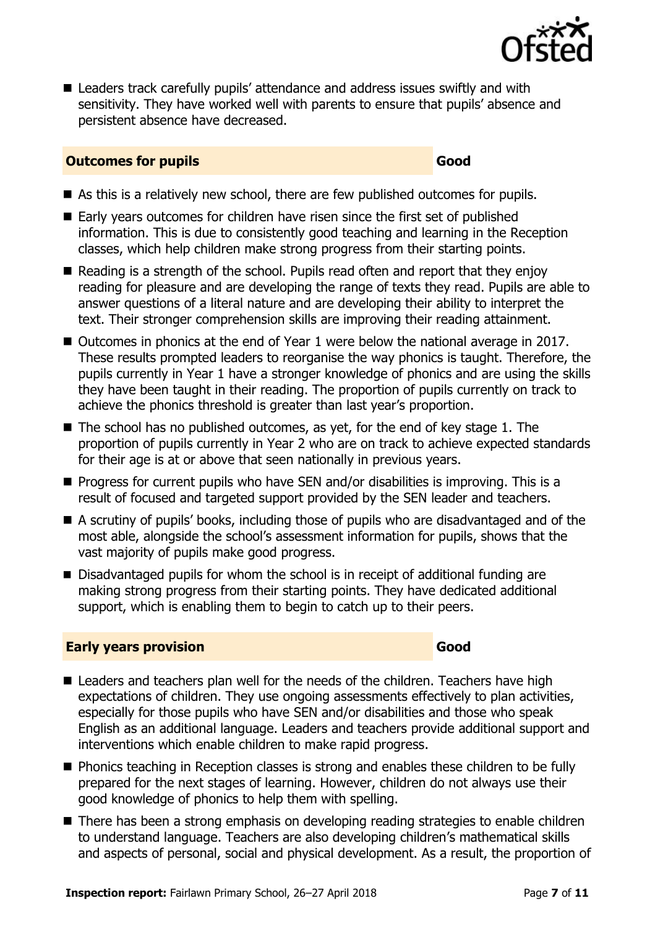

■ Leaders track carefully pupils' attendance and address issues swiftly and with sensitivity. They have worked well with parents to ensure that pupils' absence and persistent absence have decreased.

#### **Outcomes for pupils Good**

- As this is a relatively new school, there are few published outcomes for pupils.
- Early years outcomes for children have risen since the first set of published information. This is due to consistently good teaching and learning in the Reception classes, which help children make strong progress from their starting points.
- Reading is a strength of the school. Pupils read often and report that they enjoy reading for pleasure and are developing the range of texts they read. Pupils are able to answer questions of a literal nature and are developing their ability to interpret the text. Their stronger comprehension skills are improving their reading attainment.
- Outcomes in phonics at the end of Year 1 were below the national average in 2017. These results prompted leaders to reorganise the way phonics is taught. Therefore, the pupils currently in Year 1 have a stronger knowledge of phonics and are using the skills they have been taught in their reading. The proportion of pupils currently on track to achieve the phonics threshold is greater than last year's proportion.
- The school has no published outcomes, as yet, for the end of key stage 1. The proportion of pupils currently in Year 2 who are on track to achieve expected standards for their age is at or above that seen nationally in previous years.
- $\blacksquare$  Progress for current pupils who have SEN and/or disabilities is improving. This is a result of focused and targeted support provided by the SEN leader and teachers.
- A scrutiny of pupils' books, including those of pupils who are disadvantaged and of the most able, alongside the school's assessment information for pupils, shows that the vast majority of pupils make good progress.
- Disadvantaged pupils for whom the school is in receipt of additional funding are making strong progress from their starting points. They have dedicated additional support, which is enabling them to begin to catch up to their peers.

#### **Early years provision Good Good**

- Leaders and teachers plan well for the needs of the children. Teachers have high expectations of children. They use ongoing assessments effectively to plan activities, especially for those pupils who have SEN and/or disabilities and those who speak English as an additional language. Leaders and teachers provide additional support and interventions which enable children to make rapid progress.
- **Phonics teaching in Reception classes is strong and enables these children to be fully** prepared for the next stages of learning. However, children do not always use their good knowledge of phonics to help them with spelling.
- There has been a strong emphasis on developing reading strategies to enable children to understand language. Teachers are also developing children's mathematical skills and aspects of personal, social and physical development. As a result, the proportion of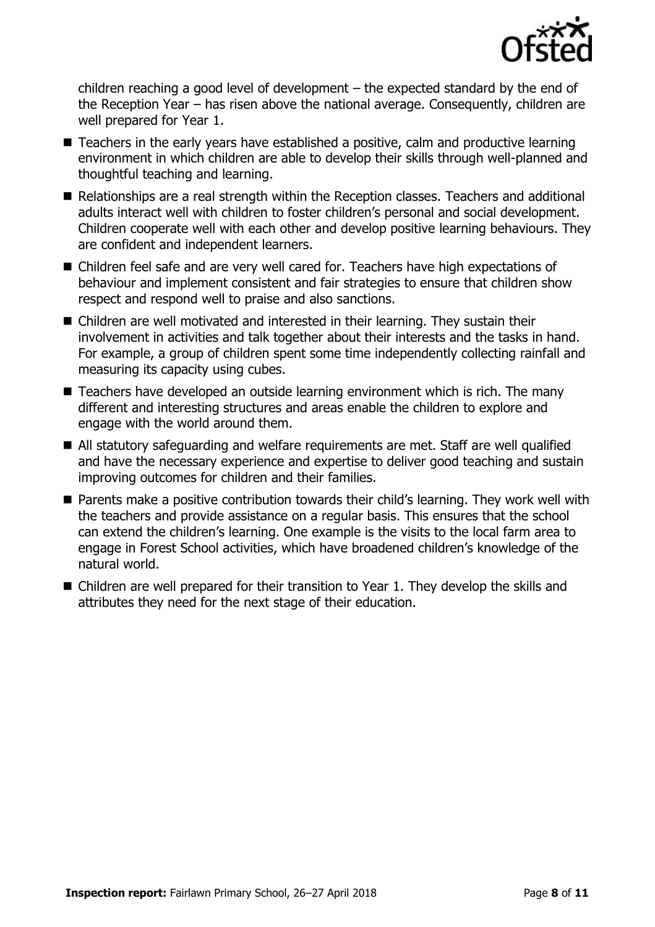

children reaching a good level of development – the expected standard by the end of the Reception Year – has risen above the national average. Consequently, children are well prepared for Year 1.

- Teachers in the early years have established a positive, calm and productive learning environment in which children are able to develop their skills through well-planned and thoughtful teaching and learning.
- Relationships are a real strength within the Reception classes. Teachers and additional adults interact well with children to foster children's personal and social development. Children cooperate well with each other and develop positive learning behaviours. They are confident and independent learners.
- Children feel safe and are very well cared for. Teachers have high expectations of behaviour and implement consistent and fair strategies to ensure that children show respect and respond well to praise and also sanctions.
- Children are well motivated and interested in their learning. They sustain their involvement in activities and talk together about their interests and the tasks in hand. For example, a group of children spent some time independently collecting rainfall and measuring its capacity using cubes.
- Teachers have developed an outside learning environment which is rich. The many different and interesting structures and areas enable the children to explore and engage with the world around them.
- All statutory safeguarding and welfare requirements are met. Staff are well qualified and have the necessary experience and expertise to deliver good teaching and sustain improving outcomes for children and their families.
- **Parents make a positive contribution towards their child's learning. They work well with** the teachers and provide assistance on a regular basis. This ensures that the school can extend the children's learning. One example is the visits to the local farm area to engage in Forest School activities, which have broadened children's knowledge of the natural world.
- Children are well prepared for their transition to Year 1. They develop the skills and attributes they need for the next stage of their education.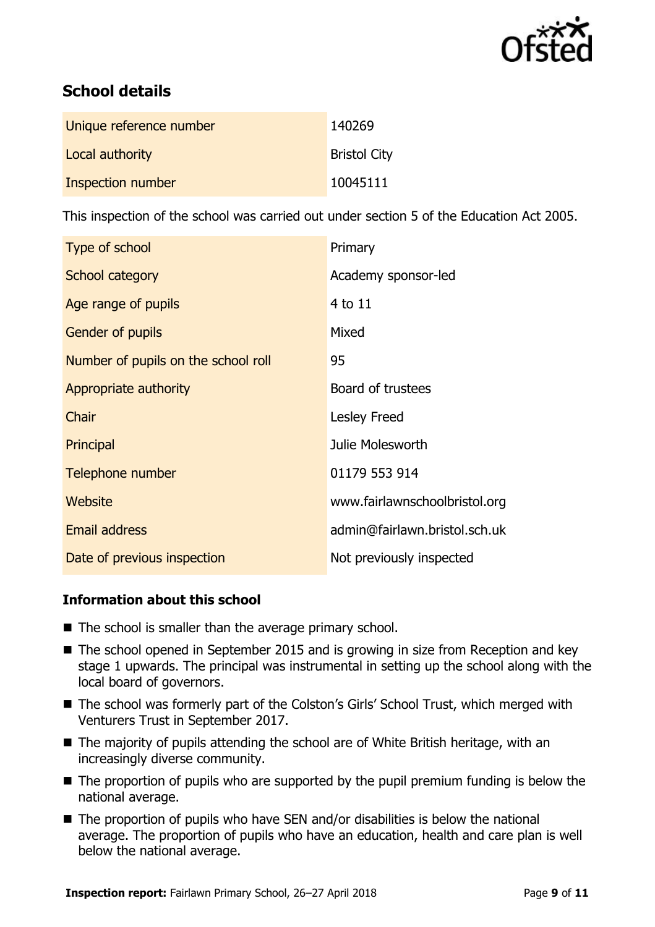

# **School details**

| Unique reference number | 140269              |
|-------------------------|---------------------|
| Local authority         | <b>Bristol City</b> |
| Inspection number       | 10045111            |

This inspection of the school was carried out under section 5 of the Education Act 2005.

| Type of school                      | Primary                       |
|-------------------------------------|-------------------------------|
| School category                     | Academy sponsor-led           |
| Age range of pupils                 | $4$ to $11$                   |
| Gender of pupils                    | Mixed                         |
| Number of pupils on the school roll | 95                            |
| Appropriate authority               | Board of trustees             |
| Chair                               | Lesley Freed                  |
| Principal                           | Julie Molesworth              |
| Telephone number                    | 01179 553 914                 |
| Website                             | www.fairlawnschoolbristol.org |
| <b>Email address</b>                | admin@fairlawn.bristol.sch.uk |
| Date of previous inspection         | Not previously inspected      |

### **Information about this school**

- $\blacksquare$  The school is smaller than the average primary school.
- The school opened in September 2015 and is growing in size from Reception and key stage 1 upwards. The principal was instrumental in setting up the school along with the local board of governors.
- The school was formerly part of the Colston's Girls' School Trust, which merged with Venturers Trust in September 2017.
- The majority of pupils attending the school are of White British heritage, with an increasingly diverse community.
- $\blacksquare$  The proportion of pupils who are supported by the pupil premium funding is below the national average.
- $\blacksquare$  The proportion of pupils who have SEN and/or disabilities is below the national average. The proportion of pupils who have an education, health and care plan is well below the national average.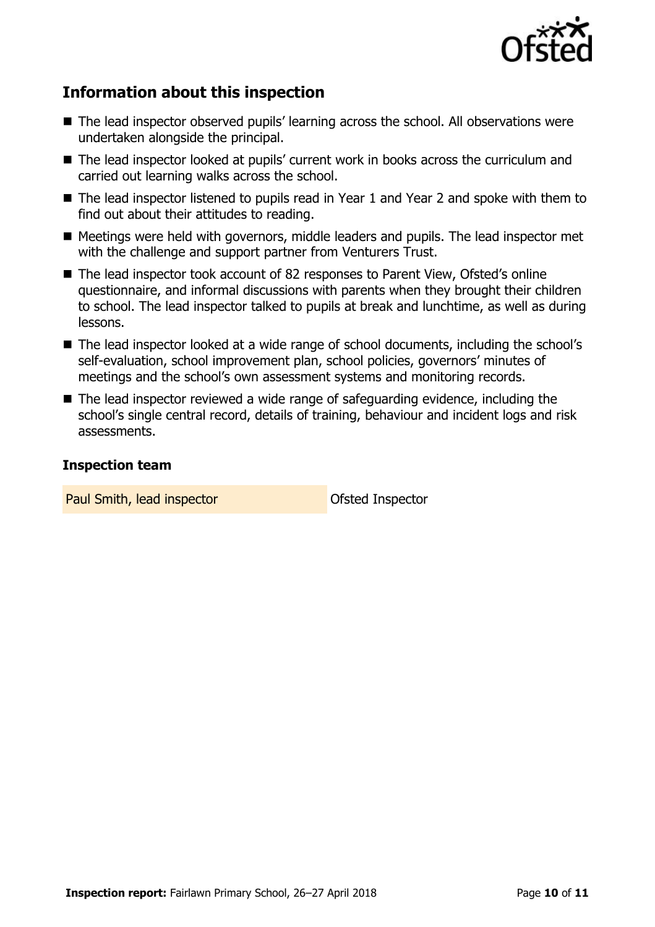

# **Information about this inspection**

- The lead inspector observed pupils' learning across the school. All observations were undertaken alongside the principal.
- The lead inspector looked at pupils' current work in books across the curriculum and carried out learning walks across the school.
- The lead inspector listened to pupils read in Year 1 and Year 2 and spoke with them to find out about their attitudes to reading.
- Meetings were held with governors, middle leaders and pupils. The lead inspector met with the challenge and support partner from Venturers Trust.
- The lead inspector took account of 82 responses to Parent View, Ofsted's online questionnaire, and informal discussions with parents when they brought their children to school. The lead inspector talked to pupils at break and lunchtime, as well as during lessons.
- The lead inspector looked at a wide range of school documents, including the school's self-evaluation, school improvement plan, school policies, governors' minutes of meetings and the school's own assessment systems and monitoring records.
- The lead inspector reviewed a wide range of safeguarding evidence, including the school's single central record, details of training, behaviour and incident logs and risk assessments.

#### **Inspection team**

Paul Smith, lead inspector **Department Constructs** Ofsted Inspector